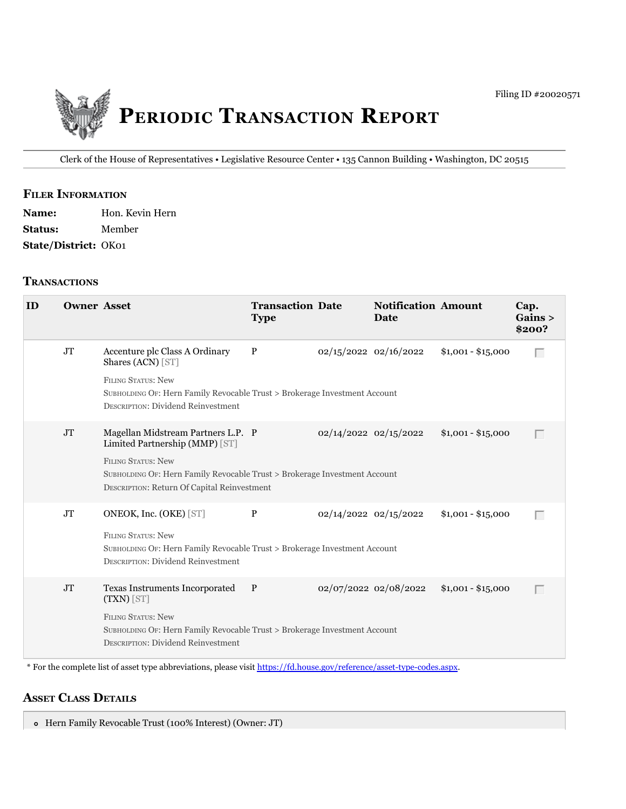

Clerk of the House of Representatives • Legislative Resource Center • 135 Cannon Building • Washington, DC 20515

#### **filer information**

| <b>Name:</b>         | Hon. Kevin Hern |
|----------------------|-----------------|
| <b>Status:</b>       | Member          |
| State/District: OK01 |                 |

### **tranSactionS**

| ID | <b>Owner Asset</b> |                                                                                                                                                                                                                               | <b>Transaction Date</b><br><b>Type</b> |                           | <b>Notification Amount</b><br>Date |                    | Cap.<br>Gains ><br>\$200? |
|----|--------------------|-------------------------------------------------------------------------------------------------------------------------------------------------------------------------------------------------------------------------------|----------------------------------------|---------------------------|------------------------------------|--------------------|---------------------------|
|    | JT                 | Accenture plc Class A Ordinary<br>Shares (ACN) [ST]<br><b>FILING STATUS: New</b><br>SUBHOLDING OF: Hern Family Revocable Trust > Brokerage Investment Account<br><b>DESCRIPTION: Dividend Reinvestment</b>                    | $\mathbf{P}$                           | 02/15/2022 02/16/2022     |                                    | $$1,001 - $15,000$ | Г                         |
|    | JT                 | Magellan Midstream Partners L.P. P<br>Limited Partnership (MMP) [ST]<br><b>FILING STATUS: New</b><br>SUBHOLDING OF: Hern Family Revocable Trust > Brokerage Investment Account<br>DESCRIPTION: Return Of Capital Reinvestment |                                        | 02/14/2022 02/15/2022     |                                    | $$1,001 - $15,000$ | п                         |
|    | JT                 | ONEOK, Inc. (OKE) [ST]<br><b>FILING STATUS: New</b><br>SUBHOLDING OF: Hern Family Revocable Trust > Brokerage Investment Account<br><b>DESCRIPTION: Dividend Reinvestment</b>                                                 | $\, {\bf P}$                           | $02/14/2022$ $02/15/2022$ |                                    | $$1,001 - $15,000$ | $\Box$                    |
|    | $\rm JT$           | Texas Instruments Incorporated<br>(TXN) [ST]<br><b>FILING STATUS: New</b><br>SUBHOLDING OF: Hern Family Revocable Trust > Brokerage Investment Account<br><b>DESCRIPTION: Dividend Reinvestment</b>                           | P                                      |                           | 02/07/2022 02/08/2022              | $$1,001 - $15,000$ | Г                         |

\* For the complete list of asset type abbreviations, please visit<https://fd.house.gov/reference/asset-type-codes.aspx>.

# **aSSet claSS DetailS**

Hern Family Revocable Trust (100% Interest) (Owner: JT)